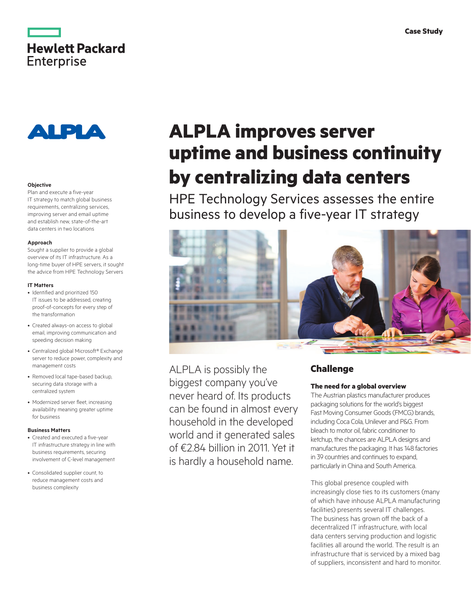



### **Objective**

Plan and execute a five-year IT strategy to match global business requirements, centralizing services, improving server and email uptime and establish new, state-of-the-art data centers in two locations

#### **Approach**

Sought a supplier to provide a global overview of its IT infrastructure. As a long-time buyer of HPE servers, it sought the advice from HPE Technology Servers

#### **IT Matters**

- Identified and prioritized 150 IT issues to be addressed, creating proof-of-concepts for every step of the transformation
- Created always-on access to global email, improving communication and speeding decision making
- Centralized global Microsoft® Exchange server to reduce power, complexity and management costs
- Removed local tape-based backup, securing data storage with a centralized system
- Modernized server fleet, increasing availability meaning greater uptime for business

## **Business Matters**

- Created and executed a five-year IT infrastructure strategy in line with business requirements, securing involvement of C-level management
- Consolidated supplier count, to reduce management costs and business complexity

# **ALPLA improves server uptime and business continuity by centralizing data centers**

HPE Technology Services assesses the entire business to develop a five-year IT strategy



ALPLA is possibly the biggest company you've never heard of. Its products can be found in almost every household in the developed world and it generated sales of €2.84 billion in 2011. Yet it is hardly a household name.

# **Challenge**

## **The need for a global overview**

The Austrian plastics manufacturer produces packaging solutions for the world's biggest Fast Moving Consumer Goods (FMCG) brands, including Coca Cola, Unilever and P&G. From bleach to motor oil, fabric conditioner to ketchup, the chances are ALPLA designs and manufactures the packaging. It has 148 factories in 39 countries and continues to expand, particularly in China and South America.

This global presence coupled with increasingly close ties to its customers (many of which have inhouse ALPLA manufacturing facilities) presents several IT challenges. The business has grown off the back of a decentralized IT infrastructure, with local data centers serving production and logistic facilities all around the world. The result is an infrastructure that is serviced by a mixed bag of suppliers, inconsistent and hard to monitor.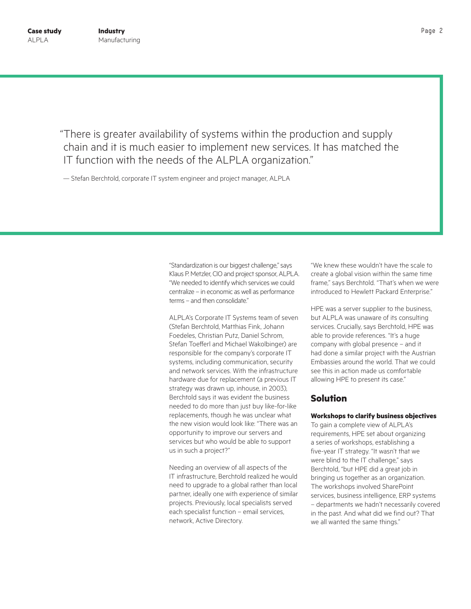"There is greater availability of systems within the production and supply chain and it is much easier to implement new services. It has matched the IT function with the needs of the ALPLA organization."

— Stefan Berchtold, corporate IT system engineer and project manager, ALPLA

"Standardization is our biggest challenge," says Klaus P. Metzler, CIO and project sponsor, ALPLA. "We needed to identify which services we could centralize – in economic as well as performance terms – and then consolidate."

ALPLA's Corporate IT Systems team of seven (Stefan Berchtold, Matthias Fink, Johann Foedeles, Christian Putz, Daniel Schrom, Stefan Toefferl and Michael Wakolbinger) are responsible for the company's corporate IT systems, including communication, security and network services. With the infrastructure hardware due for replacement (a previous IT strategy was drawn up, inhouse, in 2003), Berchtold says it was evident the business needed to do more than just buy like-for-like replacements, though he was unclear what the new vision would look like: "There was an opportunity to improve our servers and services but who would be able to support us in such a project?"

Needing an overview of all aspects of the IT infrastructure, Berchtold realized he would need to upgrade to a global rather than local partner, ideally one with experience of similar projects. Previously, local specialists served each specialist function – email services, network, Active Directory.

"We knew these wouldn't have the scale to create a global vision within the same time frame," says Berchtold. "That's when we were introduced to Hewlett Packard Enterprise."

HPE was a server supplier to the business, but ALPLA was unaware of its consulting services. Crucially, says Berchtold, HPE was able to provide references. "It's a huge company with global presence – and it had done a similar project with the Austrian Embassies around the world. That we could see this in action made us comfortable allowing HPE to present its case."

# **Solution**

## **Workshops to clarify business objectives**

To gain a complete view of ALPLA's requirements, HPE set about organizing a series of workshops, establishing a five-year IT strategy. "It wasn't that we were blind to the IT challenge," says Berchtold, "but HPE did a great job in bringing us together as an organization. The workshops involved SharePoint services, business intelligence, ERP systems – departments we hadn't necessarily covered in the past. And what did we find out? That we all wanted the same things."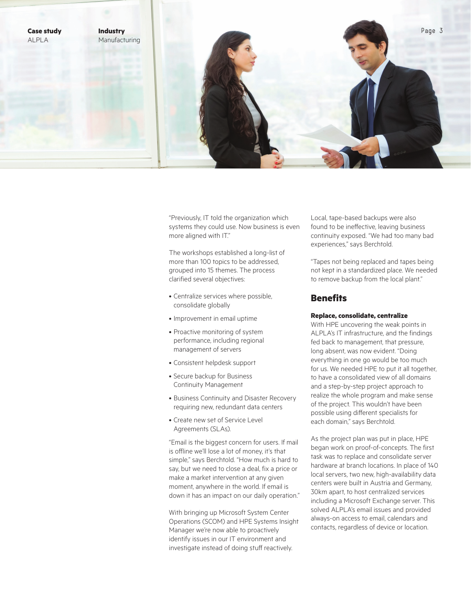

"Previously, IT told the organization which systems they could use. Now business is even more aligned with IT."

The workshops established a long-list of more than 100 topics to be addressed, grouped into 15 themes. The process clarified several objectives:

- Centralize services where possible, consolidate globally
- Improvement in email uptime
- Proactive monitoring of system performance, including regional management of servers
- Consistent helpdesk support
- Secure backup for Business Continuity Management
- Business Continuity and Disaster Recovery requiring new, redundant data centers
- Create new set of Service Level Agreements (SLAs).

"Email is the biggest concern for users. If mail is offline we'll lose a lot of money, it's that simple," says Berchtold. "How much is hard to say, but we need to close a deal, fix a price or make a market intervention at any given moment, anywhere in the world. If email is down it has an impact on our daily operation."

With bringing up Microsoft System Center Operations (SCOM) and HPE Systems Insight Manager we're now able to proactively identify issues in our IT environment and investigate instead of doing stuff reactively.

Local, tape-based backups were also found to be ineffective, leaving business continuity exposed. "We had too many bad experiences," says Berchtold.

"Tapes not being replaced and tapes being not kept in a standardized place. We needed to remove backup from the local plant."

# **Benefits**

## **Replace, consolidate, centralize**

With HPE uncovering the weak points in ALPLA's IT infrastructure, and the findings fed back to management, that pressure, long absent, was now evident. "Doing everything in one go would be too much for us. We needed HPE to put it all together, to have a consolidated view of all domains and a step-by-step project approach to realize the whole program and make sense of the project. This wouldn't have been possible using different specialists for each domain," says Berchtold.

As the project plan was put in place, HPE began work on proof-of-concepts. The first task was to replace and consolidate server hardware at branch locations. In place of 140 local servers, two new, high-availability data centers were built in Austria and Germany, 30km apart, to host centralized services including a Microsoft Exchange server. This solved ALPLA's email issues and provided always-on access to email, calendars and contacts, regardless of device or location.